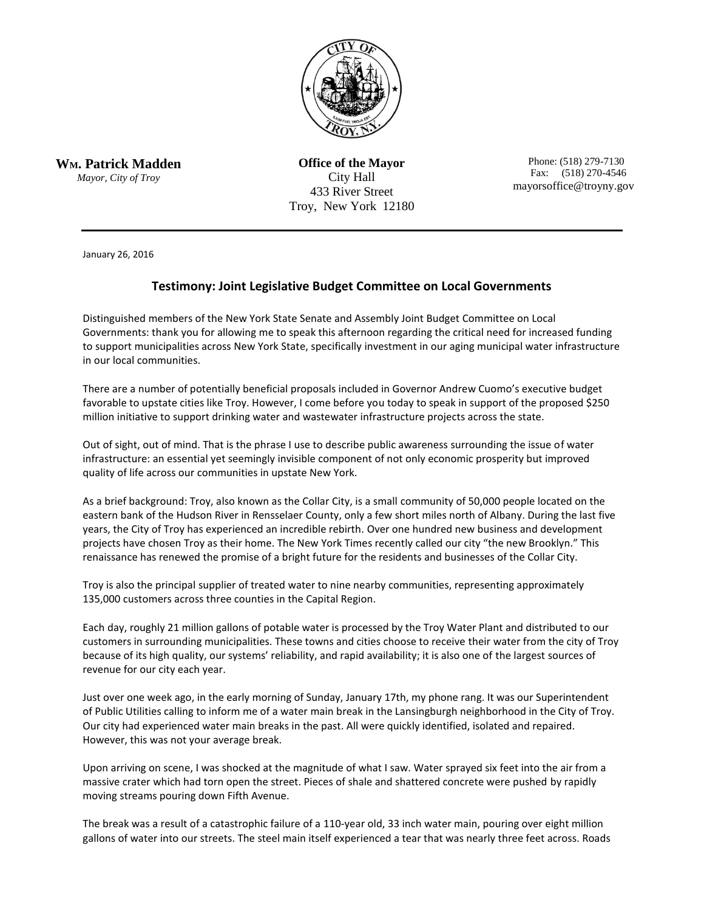

**WM. Patrick Madden**

*Mayor, City of Troy*

**Office of the Mayor** City Hall 433 River Street Troy, New York 12180

 Phone: (518) 279-7130 Fax: (518) 270-4546 mayorsoffice@troyny.gov

January 26, 2016

## **Testimony: Joint Legislative Budget Committee on Local Governments**

Distinguished members of the New York State Senate and Assembly Joint Budget Committee on Local Governments: thank you for allowing me to speak this afternoon regarding the critical need for increased funding to support municipalities across New York State, specifically investment in our aging municipal water infrastructure in our local communities.

There are a number of potentially beneficial proposals included in Governor Andrew Cuomo's executive budget favorable to upstate cities like Troy. However, I come before you today to speak in support of the proposed \$250 million initiative to support drinking water and wastewater infrastructure projects across the state.

Out of sight, out of mind. That is the phrase I use to describe public awareness surrounding the issue of water infrastructure: an essential yet seemingly invisible component of not only economic prosperity but improved quality of life across our communities in upstate New York.

As a brief background: Troy, also known as the Collar City, is a small community of 50,000 people located on the eastern bank of the Hudson River in Rensselaer County, only a few short miles north of Albany. During the last five years, the City of Troy has experienced an incredible rebirth. Over one hundred new business and development projects have chosen Troy as their home. The New York Times recently called our city "the new Brooklyn." This renaissance has renewed the promise of a bright future for the residents and businesses of the Collar City.

Troy is also the principal supplier of treated water to nine nearby communities, representing approximately 135,000 customers across three counties in the Capital Region.

Each day, roughly 21 million gallons of potable water is processed by the Troy Water Plant and distributed to our customers in surrounding municipalities. These towns and cities choose to receive their water from the city of Troy because of its high quality, our systems' reliability, and rapid availability; it is also one of the largest sources of revenue for our city each year.

Just over one week ago, in the early morning of Sunday, January 17th, my phone rang. It was our Superintendent of Public Utilities calling to inform me of a water main break in the Lansingburgh neighborhood in the City of Troy. Our city had experienced water main breaks in the past. All were quickly identified, isolated and repaired. However, this was not your average break.

Upon arriving on scene, I was shocked at the magnitude of what I saw. Water sprayed six feet into the air from a massive crater which had torn open the street. Pieces of shale and shattered concrete were pushed by rapidly moving streams pouring down Fifth Avenue.

The break was a result of a catastrophic failure of a 110-year old, 33 inch water main, pouring over eight million gallons of water into our streets. The steel main itself experienced a tear that was nearly three feet across. Roads